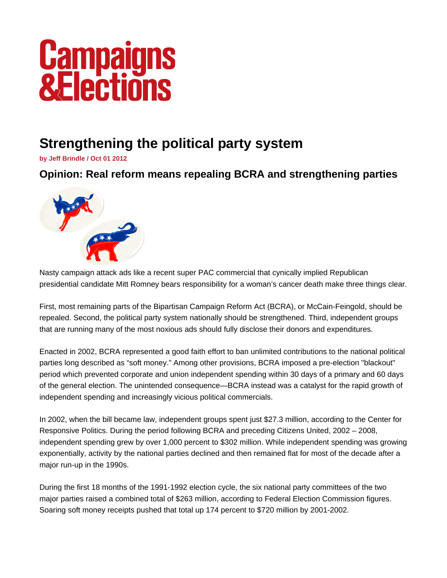## **Campaigns<br>&Elections**

## **Strengthening the political party system**

**by Jeff Brindle / Oct 01 2012** 

**Opinion: Real reform means repealing BCRA and strengthening parties** 



Nasty campaign attack ads like a recent super PAC commercial that cynically implied Republican presidential candidate Mitt Romney bears responsibility for a woman's cancer death make three things clear.

First, most remaining parts of the Bipartisan Campaign Reform Act (BCRA), or McCain-Feingold, should be repealed. Second, the political party system nationally should be strengthened. Third, independent groups that are running many of the most noxious ads should fully disclose their donors and expenditures.

Enacted in 2002, BCRA represented a good faith effort to ban unlimited contributions to the national political parties long described as "soft money." Among other provisions, BCRA imposed a pre-election "blackout" period which prevented corporate and union independent spending within 30 days of a primary and 60 days of the general election. The unintended consequence—BCRA instead was a catalyst for the rapid growth of independent spending and increasingly vicious political commercials.

In 2002, when the bill became law, independent groups spent just \$27.3 million, according to the Center for Responsive Politics. During the period following BCRA and preceding Citizens United, 2002 – 2008, independent spending grew by over 1,000 percent to \$302 million. While independent spending was growing exponentially, activity by the national parties declined and then remained flat for most of the decade after a major run-up in the 1990s.

During the first 18 months of the 1991-1992 election cycle, the six national party committees of the two major parties raised a combined total of \$263 million, according to Federal Election Commission figures. Soaring soft money receipts pushed that total up 174 percent to \$720 million by 2001-2002.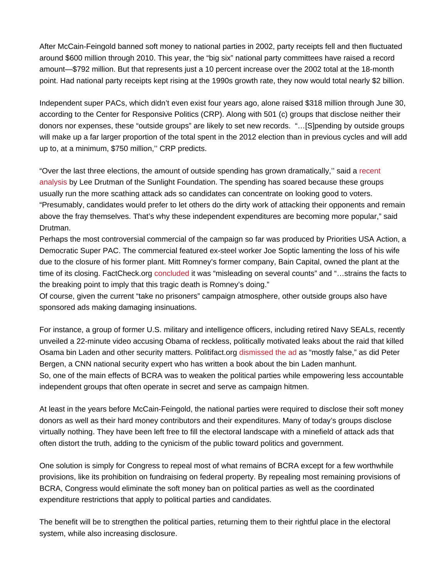After McCain-Feingold banned soft money to national parties in 2002, party receipts fell and then fluctuated around \$600 million through 2010. This year, the "big six" national party committees have raised a record amount—\$792 million. But that represents just a 10 percent increase over the 2002 total at the 18-month point. Had national party receipts kept rising at the 1990s growth rate, they now would total nearly \$2 billion.

Independent super PACs, which didn't even exist four years ago, alone raised \$318 million through June 30, according to the Center for Responsive Politics (CRP). Along with 501 (c) groups that disclose neither their donors nor expenses, these "outside groups" are likely to set new records. "…[S]pending by outside groups will make up a far larger proportion of the total spent in the 2012 election than in previous cycles and will add up to, at a minimum, \$750 million,'' CRP predicts.

"Over the last three elections, the amount of outside spending has grown dramatically,'' said a [recent](http://sunlightfoundation.com/blog/2012/07/16/dark-money/)  [analysis](http://sunlightfoundation.com/blog/2012/07/16/dark-money/) by Lee Drutman of the Sunlight Foundation. The spending has soared because these groups usually run the more scathing attack ads so candidates can concentrate on looking good to voters. "Presumably, candidates would prefer to let others do the dirty work of attacking their opponents and remain above the fray themselves. That's why these independent expenditures are becoming more popular," said Drutman.

Perhaps the most controversial commercial of the campaign so far was produced by Priorities USA Action, a Democratic Super PAC. The commercial featured ex-steel worker Joe Soptic lamenting the loss of his wife due to the closure of his former plant. Mitt Romney's former company, Bain Capital, owned the plant at the time of its closing. FactCheck.org [concluded](http://www.factcheck.org/2012/08/is-romney-to-blame-for-cancer-death/) it was "misleading on several counts" and "…strains the facts to the breaking point to imply that this tragic death is Romney's doing."

Of course, given the current "take no prisoners" campaign atmosphere, other outside groups also have sponsored ads making damaging insinuations.

For instance, a group of former U.S. military and intelligence officers, including retired Navy SEALs, recently unveiled a 22-minute video accusing Obama of reckless, politically motivated leaks about the raid that killed Osama bin Laden and other security matters. Politifact.org [dismissed the ad](http://www.politifact.com/truth-o-meter/statements/2012/aug/20/special-operations-opsec-education-fund/group-says-obama-revealed-secret-information-holl/) as "mostly false," as did Peter Bergen, a CNN national security expert who has written a book about the bin Laden manhunt. So, one of the main effects of BCRA was to weaken the political parties while empowering less accountable independent groups that often operate in secret and serve as campaign hitmen.

At least in the years before McCain-Feingold, the national parties were required to disclose their soft money donors as well as their hard money contributors and their expenditures. Many of today's groups disclose virtually nothing. They have been left free to fill the electoral landscape with a minefield of attack ads that often distort the truth, adding to the cynicism of the public toward politics and government.

One solution is simply for Congress to repeal most of what remains of BCRA except for a few worthwhile provisions, like its prohibition on fundraising on federal property. By repealing most remaining provisions of BCRA, Congress would eliminate the soft money ban on political parties as well as the coordinated expenditure restrictions that apply to political parties and candidates.

The benefit will be to strengthen the political parties, returning them to their rightful place in the electoral system, while also increasing disclosure.